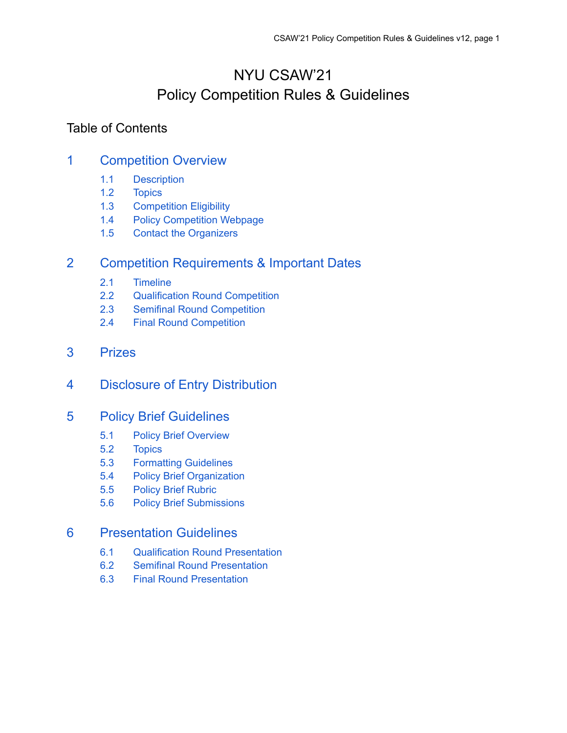# NYU CSAW'21 Policy Competition Rules & Guidelines

# Table of Contents

# 1 [Competition](#page-1-0) Overview

- 1.1 [Description](#page-1-1)
- 1.2 [Topics](#page-1-2)
- 1.3 [Competition](#page-2-0) Eligibility
- 1.4 Policy [Competition](#page-2-1) Webpage
- 1.5 Contact the [Organizers](#page-2-2)

# 2 Competition [Requirements](#page-2-3) & Important Dates

- 2.1 [Timeline](#page-2-4)
- 2.2 [Qualification](#page-3-0) Round Competition
- 2.3 Semifinal Round [Competition](#page-4-0)
- 2.4 Final Round [Competition](#page-5-0)
- 3 [Prizes](#page-5-1)
- 4 Disclosure of Entry [Distribution](#page-6-0)

# 5 Policy Brief [Guidelines](#page-6-1)

- 5.1 Policy Brief [Overview](#page-6-2)
- 5.2 [Topics](#page-6-3)
- 5.3 [Formatting](#page-7-0) Guidelines
- 5.4 Policy Brief [Organization](#page-7-1)
- 5.5 Policy Brief [Rubric](#page-8-0)
- 5.6 Policy Brief [Submissions](#page-8-1)

# 6 [Presentation](#page-9-0) Guidelines

- 6.1 Qualification Round [Presentation](#page-9-1)
- 6.2 Semifinal Round [Presentation](#page-9-2)
- 6.3 Final Round [Presentation](#page-10-0)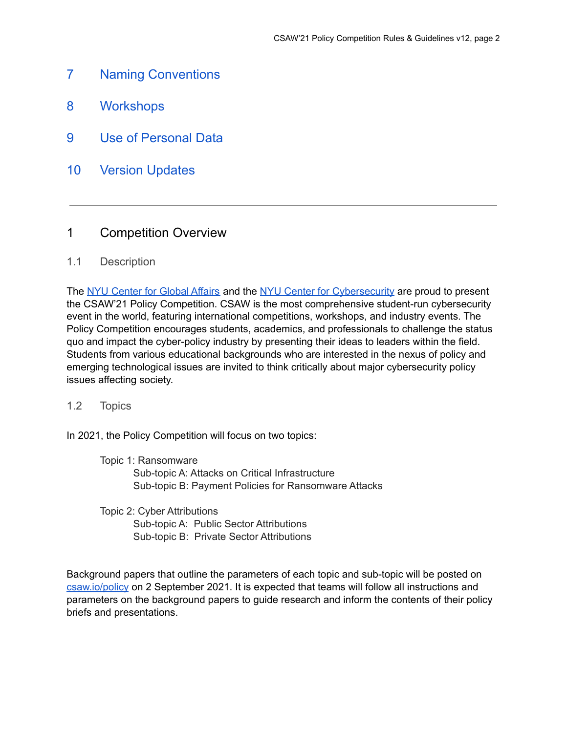- <span id="page-1-3"></span>7 Naming [Conventions](#page-1-3)
- <span id="page-1-4"></span>8 [Workshops](#page-1-4)
- <span id="page-1-5"></span>9 Use of [Personal](#page-1-5) Data
- 10 Version [Updates](#page-12-0)

# <span id="page-1-0"></span>1 Competition Overview

### <span id="page-1-1"></span>1.1 Description

The NYU [Center](https://www.sps.nyu.edu/homepage/academics/divisions-and-departments/center-for-global-affairs.html) for Global Affairs and the NYU Center for [Cybersecurity](https://cyber.nyu.edu/) are proud to present the CSAW'21 Policy Competition. CSAW is the most comprehensive student-run cybersecurity event in the world, featuring international competitions, workshops, and industry events. The Policy Competition encourages students, academics, and professionals to challenge the status quo and impact the cyber-policy industry by presenting their ideas to leaders within the field. Students from various educational backgrounds who are interested in the nexus of policy and emerging technological issues are invited to think critically about major cybersecurity policy issues affecting society.

#### <span id="page-1-2"></span>1.2 Topics

In 2021, the Policy Competition will focus on two topics:

Topic 1: Ransomware Sub-topic A: Attacks on Critical Infrastructure Sub-topic B: Payment Policies for Ransomware Attacks

Topic 2: Cyber Attributions Sub-topic A: Public Sector Attributions Sub-topic B: Private Sector Attributions

Background papers that outline the parameters of each topic and sub-topic will be posted on [csaw.io/policy](https://www.csaw.io/policy) on 2 September 2021. It is expected that teams will follow all instructions and parameters on the background papers to guide research and inform the contents of their policy briefs and presentations.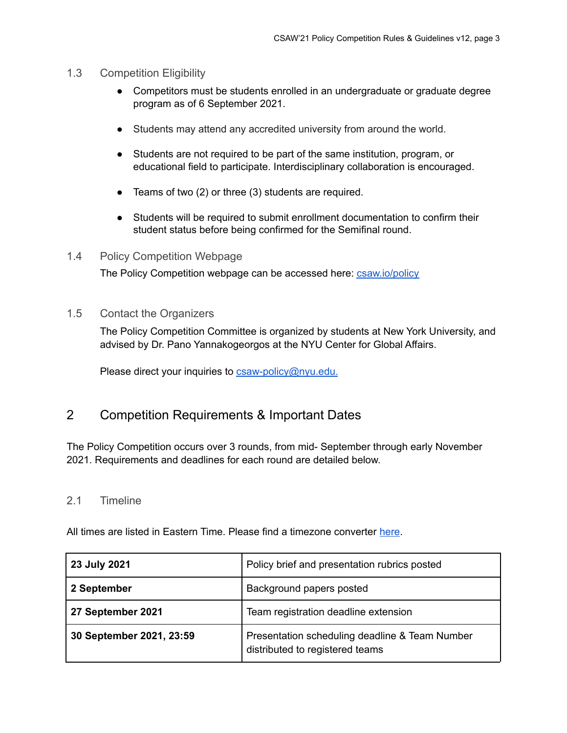#### <span id="page-2-0"></span>1.3 Competition Eligibility

- Competitors must be students enrolled in an undergraduate or graduate degree program as of 6 September 2021.
- Students may attend any accredited university from around the world.
- Students are not required to be part of the same institution, program, or educational field to participate. Interdisciplinary collaboration is encouraged.
- Teams of two (2) or three (3) students are required.
- Students will be required to submit enrollment documentation to confirm their student status before being confirmed for the Semifinal round.
- <span id="page-2-1"></span>1.4 Policy Competition Webpage

The Policy Competition webpage can be accessed here: [csaw.io/policy](https://www.csaw.io/policy)

<span id="page-2-2"></span>1.5 Contact the Organizers

The Policy Competition Committee is organized by students at New York University, and advised by Dr. Pano Yannakogeorgos at the NYU Center for Global Affairs.

Please direct your inquiries to **[csaw-policy@nyu.edu.](mailto:csaw-policy@nyu.edu)** 

# <span id="page-2-3"></span>2 Competition Requirements & Important Dates

The Policy Competition occurs over 3 rounds, from mid- September through early November 2021. Requirements and deadlines for each round are detailed below.

#### <span id="page-2-4"></span>2.1 Timeline

All times are listed in Eastern Time. Please find a timezone converter [here](https://www.timeanddate.com/worldclock/meeting.html).

| 23 July 2021             | Policy brief and presentation rubrics posted                                      |
|--------------------------|-----------------------------------------------------------------------------------|
| 2 September              | Background papers posted                                                          |
| 27 September 2021        | Team registration deadline extension                                              |
| 30 September 2021, 23:59 | Presentation scheduling deadline & Team Number<br>distributed to registered teams |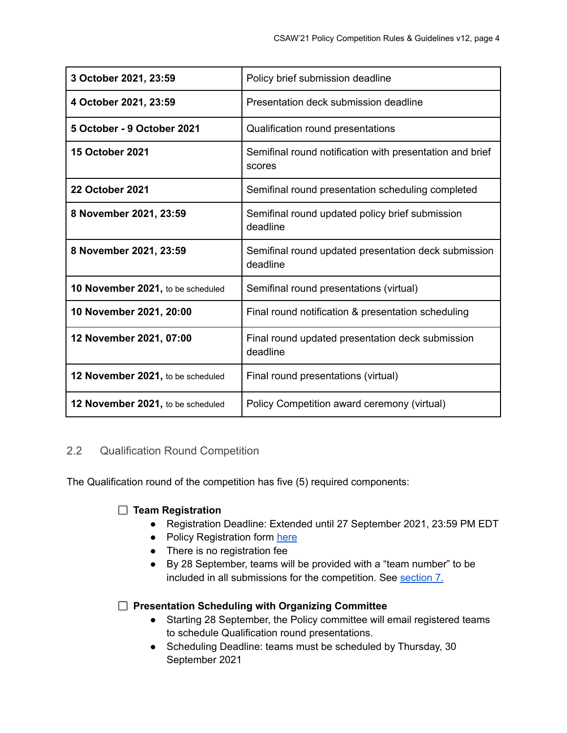| 3 October 2021, 23:59             | Policy brief submission deadline                                   |
|-----------------------------------|--------------------------------------------------------------------|
| 4 October 2021, 23:59             | Presentation deck submission deadline                              |
| 5 October - 9 October 2021        | Qualification round presentations                                  |
| <b>15 October 2021</b>            | Semifinal round notification with presentation and brief<br>scores |
| <b>22 October 2021</b>            | Semifinal round presentation scheduling completed                  |
| 8 November 2021, 23:59            | Semifinal round updated policy brief submission<br>deadline        |
| 8 November 2021, 23:59            | Semifinal round updated presentation deck submission<br>deadline   |
| 10 November 2021, to be scheduled | Semifinal round presentations (virtual)                            |
| 10 November 2021, 20:00           | Final round notification & presentation scheduling                 |
| 12 November 2021, 07:00           | Final round updated presentation deck submission<br>deadline       |
| 12 November 2021, to be scheduled | Final round presentations (virtual)                                |
| 12 November 2021, to be scheduled | Policy Competition award ceremony (virtual)                        |

# <span id="page-3-0"></span>2.2 Qualification Round Competition

The Qualification round of the competition has five (5) required components:

### **Team Registration**

- Registration Deadline: Extended until 27 September 2021, 23:59 PM EDT
- Policy Registration form [here](https://forms.gle/76r3FmTtUQ122U739)
- There is no registration fee
- By 28 September, teams will be provided with a "team number" to be included in all submissions for the competition. See section 7.

### **Presentation Scheduling with Organizing Committee**

- **●** Starting 28 September, the Policy committee will email registered teams to schedule Qualification round presentations.
- **●** Scheduling Deadline: teams must be scheduled by Thursday, 30 September 2021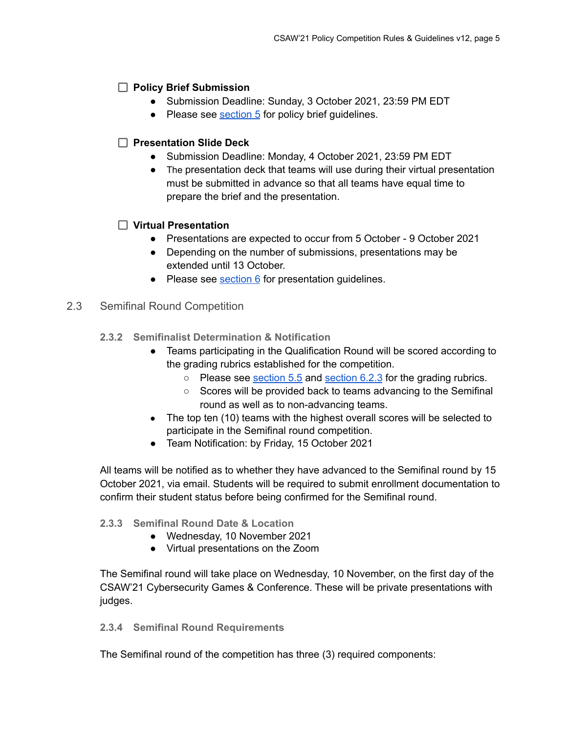## **Policy Brief Submission**

- **●** Submission Deadline: Sunday, 3 October 2021, 23:59 PM EDT
- Please see [section](#page-6-1) 5 for policy brief guidelines.

# **Presentation Slide Deck**

- Submission Deadline: Monday, 4 October 2021, 23:59 PM EDT
- The presentation deck that teams will use during their virtual presentation must be submitted in advance so that all teams have equal time to prepare the brief and the presentation.

# **Virtual Presentation**

- Presentations are expected to occur from 5 October 9 October 2021
- Depending on the number of submissions, presentations may be extended until 13 October.
- Please see [section](#page-9-0) 6 for presentation guidelines.

### <span id="page-4-0"></span>2.3 Semifinal Round Competition

- **2.3.2 Semifinalist Determination & Notification**
	- Teams participating in the Qualification Round will be scored according to the grading rubrics established for the competition.
		- $\circ$  Please see [section](#page-10-1) 5.5 and section 6.2.3 for the grading rubrics.
		- Scores will be provided back to teams advancing to the Semifinal round as well as to non-advancing teams.
	- The top ten (10) teams with the highest overall scores will be selected to participate in the Semifinal round competition.
	- Team Notification: by Friday, 15 October 2021

All teams will be notified as to whether they have advanced to the Semifinal round by 15 October 2021, via email. Students will be required to submit enrollment documentation to confirm their student status before being confirmed for the Semifinal round.

### **2.3.3 Semifinal Round Date & Location**

- Wednesday, 10 November 2021
- Virtual presentations on the Zoom

The Semifinal round will take place on Wednesday, 10 November, on the first day of the CSAW'21 Cybersecurity Games & Conference. These will be private presentations with judges.

**2.3.4 Semifinal Round Requirements**

The Semifinal round of the competition has three (3) required components: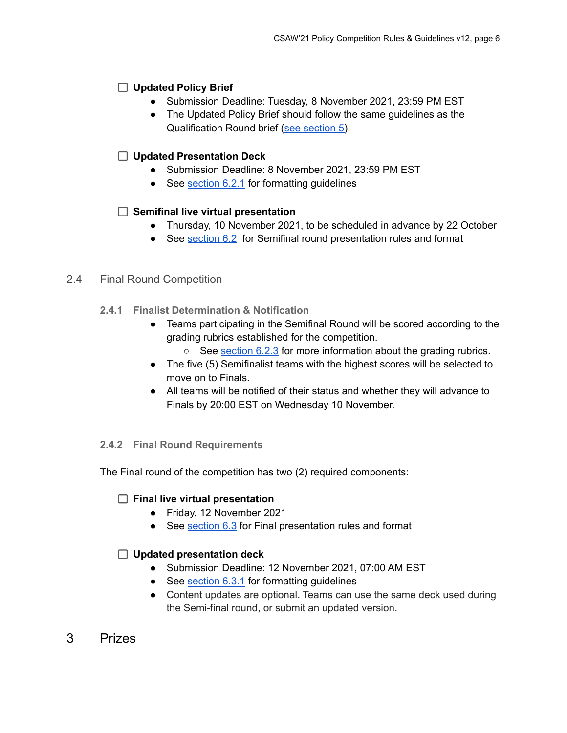# **Updated Policy Brief**

- Submission Deadline: Tuesday, 8 November 2021, 23:59 PM EST
- The Updated Policy Brief should follow the same guidelines as the Qualification Round brief (see [section](#page-6-1) 5).

## **Updated Presentation Deck**

- Submission Deadline: 8 November 2021, 23:59 PM EST
- See [section](#page-9-3) 6.2.1 for formatting guidelines

### **Semifinal live virtual presentation**

- Thursday, 10 November 2021, to be scheduled in advance by 22 October
- See [section](#page-9-2) 6.2 for Semifinal round presentation rules and format

#### <span id="page-5-0"></span>2.4 Final Round Competition

- **2.4.1 Finalist Determination & Notification**
	- Teams participating in the Semifinal Round will be scored according to the grading rubrics established for the competition.
		- $\circ$  See [section](#page-10-1) 6.2.3 for more information about the grading rubrics.
	- The five (5) Semifinalist teams with the highest scores will be selected to move on to Finals.
	- All teams will be notified of their status and whether they will advance to Finals by 20:00 EST on Wednesday 10 November.

#### **2.4.2 Final Round Requirements**

The Final round of the competition has two (2) required components:

### **Final live virtual presentation**

- Friday, 12 November 2021
- See [section](#page-10-0) 6.3 for Final presentation rules and format

### **Updated presentation deck**

- Submission Deadline: 12 November 2021, 07:00 AM EST
- See [section](#page-10-2) 6.3.1 for formatting guidelines
- Content updates are optional. Teams can use the same deck used during the Semi-final round, or submit an updated version.
- <span id="page-5-1"></span>3 Prizes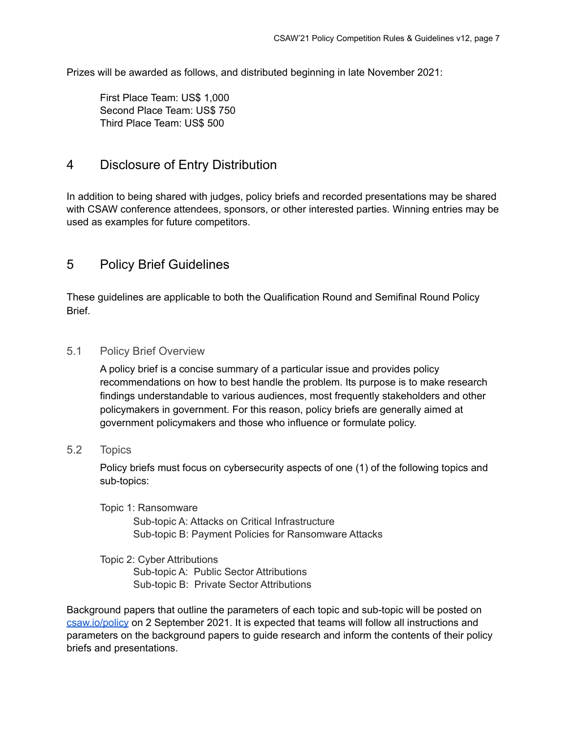Prizes will be awarded as follows, and distributed beginning in late November 2021:

First Place Team: US\$ 1,000 Second Place Team: US\$ 750 Third Place Team: US\$ 500

# <span id="page-6-0"></span>4 Disclosure of Entry Distribution

In addition to being shared with judges, policy briefs and recorded presentations may be shared with CSAW conference attendees, sponsors, or other interested parties. Winning entries may be used as examples for future competitors.

# <span id="page-6-1"></span>5 Policy Brief Guidelines

These guidelines are applicable to both the Qualification Round and Semifinal Round Policy Brief.

### <span id="page-6-2"></span>5.1 Policy Brief Overview

A policy brief is a concise summary of a particular issue and provides policy recommendations on how to best handle the problem. Its purpose is to make research findings understandable to various audiences, most frequently stakeholders and other policymakers in government. For this reason, policy briefs are generally aimed at government policymakers and those who influence or formulate policy.

# <span id="page-6-3"></span>5.2 Topics

Policy briefs must focus on cybersecurity aspects of one (1) of the following topics and sub-topics:

#### Topic 1: Ransomware

Sub-topic A: Attacks on Critical Infrastructure Sub-topic B: Payment Policies for Ransomware Attacks

#### Topic 2: Cyber Attributions Sub-topic A: Public Sector Attributions Sub-topic B: Private Sector Attributions

Background papers that outline the parameters of each topic and sub-topic will be posted on [csaw.io/policy](https://www.csaw.io/policy) on 2 September 2021. It is expected that teams will follow all instructions and parameters on the background papers to guide research and inform the contents of their policy briefs and presentations.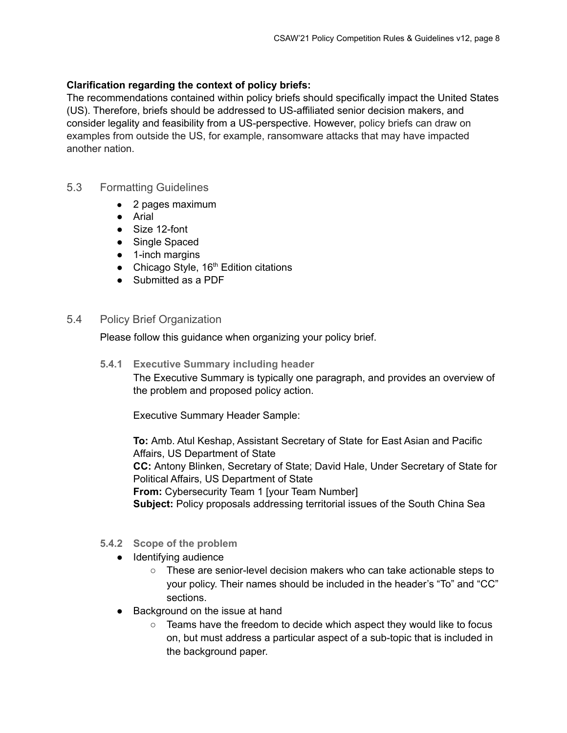#### **Clarification regarding the context of policy briefs:**

The recommendations contained within policy briefs should specifically impact the United States (US). Therefore, briefs should be addressed to US-affiliated senior decision makers, and consider legality and feasibility from a US-perspective. However, policy briefs can draw on examples from outside the US, for example, ransomware attacks that may have impacted another nation.

#### <span id="page-7-0"></span>5.3 Formatting Guidelines

- 2 pages maximum
- Arial
- Size 12-font
- Single Spaced
- 1-inch margins
- Chicago Style,  $16<sup>th</sup>$  Edition citations
- Submitted as a PDF
- <span id="page-7-1"></span>5.4 Policy Brief Organization

Please follow this guidance when organizing your policy brief.

**5.4.1 Executive Summary including header** The Executive Summary is typically one paragraph, and provides an overview of the problem and proposed policy action.

Executive Summary Header Sample:

**To:** Amb. Atul Keshap, Assistant Secretary of State for East Asian and Pacific Affairs, US Department of State **CC:** Antony Blinken, Secretary of State; David Hale, Under Secretary of State for Political Affairs, US Department of State **From:** Cybersecurity Team 1 [your Team Number] **Subject:** Policy proposals addressing territorial issues of the South China Sea

- **5.4.2 Scope of the problem**
	- Identifying audience
		- These are senior-level decision makers who can take actionable steps to your policy. Their names should be included in the header's "To" and "CC" sections.
	- Background on the issue at hand
		- Teams have the freedom to decide which aspect they would like to focus on, but must address a particular aspect of a sub-topic that is included in the background paper.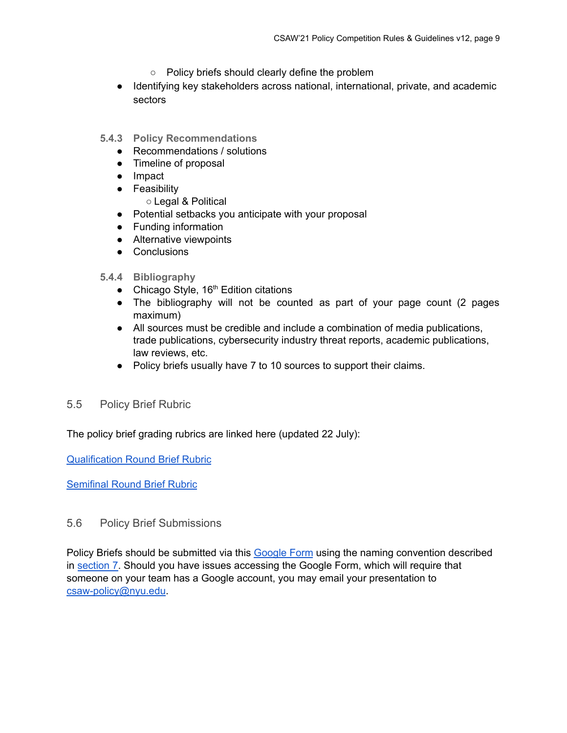- Policy briefs should clearly define the problem
- Identifying key stakeholders across national, international, private, and academic sectors
- **5.4.3 Policy Recommendations**
	- Recommendations / solutions
	- Timeline of proposal
	- Impact
	- Feasibility
		- Legal & Political
	- Potential setbacks you anticipate with your proposal
	- Funding information
	- Alternative viewpoints
	- Conclusions
- **5.4.4 Bibliography**
	- Chicago Style, 16<sup>th</sup> Edition citations
	- The bibliography will not be counted as part of your page count (2 pages maximum)
	- All sources must be credible and include a combination of media publications, trade publications, cybersecurity industry threat reports, academic publications, law reviews, etc.
	- Policy briefs usually have 7 to 10 sources to support their claims.
- <span id="page-8-0"></span>5.5 Policy Brief Rubric

The policy brief grading rubrics are linked here (updated 22 July):

[Qualification](https://docs.google.com/document/d/1PYXM1MbWMcfOAJpFnhjsuN_yKwoZeintHZsJM9s_J_U/edit?usp=sharing) Round Brief Rubric

[Semifinal](https://docs.google.com/document/d/1WZMnVR0GwpKxEnwjo6Vnep4DNORGoo92syCKrRHQNFU/edit?usp=sharing) Round Brief Rubric

### <span id="page-8-1"></span>5.6 Policy Brief Submissions

Policy Briefs should be submitted via this **[Google](https://forms.gle/2G9o9dAgFZjsdaer5) Form** using the naming convention described in [section](#page-1-3) 7. Should you have issues accessing the Google Form, which will require that someone on your team has a Google account, you may email your presentation to [csaw-policy@nyu.edu](mailto:csaw-policy@nyu.edu).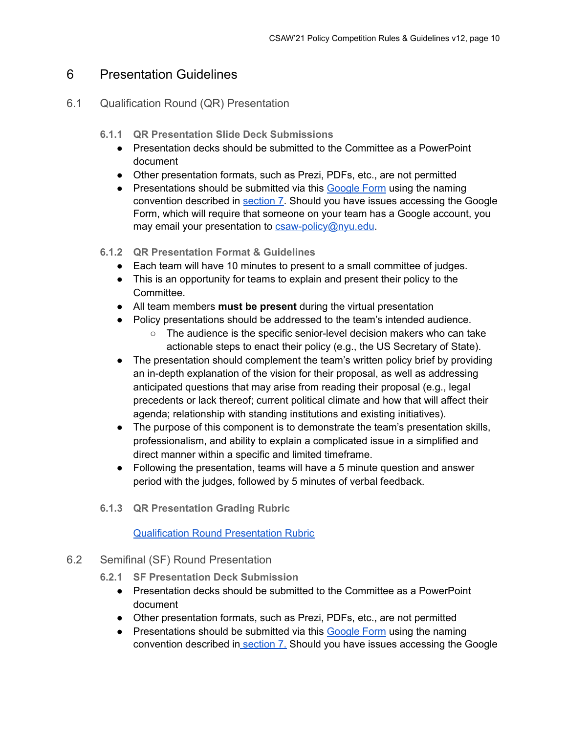# <span id="page-9-0"></span>6 Presentation Guidelines

## <span id="page-9-1"></span>6.1 Qualification Round (QR) Presentation

- **6.1.1 QR Presentation Slide Deck Submissions**
	- Presentation decks should be submitted to the Committee as a PowerPoint document
	- Other presentation formats, such as Prezi, PDFs, etc., are not permitted
	- Presentations should be submitted via this [Google](https://forms.gle/2G9o9dAgFZjsdaer5) Form using the naming convention described in [section](#page-1-3) 7. Should you have issues accessing the Google Form, which will require that someone on your team has a Google account, you may email your presentation to [csaw-policy@nyu.edu](mailto:csaw-policy@nyu.edu).
- **6.1.2 QR Presentation Format & Guidelines**
	- Each team will have 10 minutes to present to a small committee of judges.
	- This is an opportunity for teams to explain and present their policy to the Committee.
	- All team members **must be present** during the virtual presentation
	- Policy presentations should be addressed to the team's intended audience.
		- The audience is the specific senior-level decision makers who can take actionable steps to enact their policy (e.g., the US Secretary of State).
	- The presentation should complement the team's written policy brief by providing an in-depth explanation of the vision for their proposal, as well as addressing anticipated questions that may arise from reading their proposal (e.g., legal precedents or lack thereof; current political climate and how that will affect their agenda; relationship with standing institutions and existing initiatives).
	- The purpose of this component is to demonstrate the team's presentation skills, professionalism, and ability to explain a complicated issue in a simplified and direct manner within a specific and limited timeframe.
	- Following the presentation, teams will have a 5 minute question and answer period with the judges, followed by 5 minutes of verbal feedback.
- **6.1.3 QR Presentation Grading Rubric**

#### Qualification Round [Presentation](https://docs.google.com/document/d/1FGy1ELC5E4XoLv7SPzR5hn507UVzypfDwcXktmi46DA/edit?usp=sharing) Rubric

- <span id="page-9-3"></span><span id="page-9-2"></span>6.2 Semifinal (SF) Round Presentation
	- **6.2.1 SF Presentation Deck Submission**
		- Presentation decks should be submitted to the Committee as a PowerPoint document
		- Other presentation formats, such as Prezi, PDFs, etc., are not permitted
		- Presentations should be submitted via this [Google](https://forms.gle/2G9o9dAgFZjsdaer5) Form using the naming convention described in [section](#page-1-3) 7. Should you have issues accessing the Google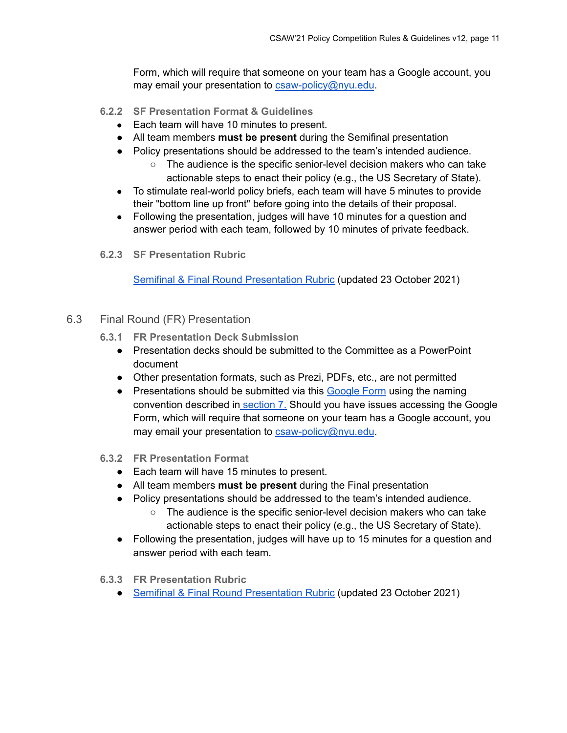Form, which will require that someone on your team has a Google account, you may email your presentation to [csaw-policy@nyu.edu](mailto:csaw-policy@nyu.edu).

- **6.2.2 SF Presentation Format & Guidelines**
	- Each team will have 10 minutes to present.
	- All team members **must be present** during the Semifinal presentation
	- Policy presentations should be addressed to the team's intended audience.
		- The audience is the specific senior-level decision makers who can take actionable steps to enact their policy (e.g., the US Secretary of State).
	- To stimulate real-world policy briefs, each team will have 5 minutes to provide their "bottom line up front" before going into the details of their proposal.
	- Following the presentation, judges will have 10 minutes for a question and answer period with each team, followed by 10 minutes of private feedback.
- <span id="page-10-1"></span>**6.2.3 SF Presentation Rubric**

Semifinal & Final Round [Presentation](https://docs.google.com/document/d/1MtE2OkZ0PDgewhwu5GIr_gxNhGZ3JMNDFJZcv5qJGdY/edit?usp=sharing) Rubric (updated 23 October 2021)

- <span id="page-10-2"></span><span id="page-10-0"></span>6.3 Final Round (FR) Presentation
	- **6.3.1 FR Presentation Deck Submission**
		- Presentation decks should be submitted to the Committee as a PowerPoint document
		- Other presentation formats, such as Prezi, PDFs, etc., are not permitted
		- Presentations should be submitted via this [Google](https://forms.gle/2G9o9dAgFZjsdaer5) Form using the naming convention described in [section](#page-1-3) 7. Should you have issues accessing the Google Form, which will require that someone on your team has a Google account, you may email your presentation to [csaw-policy@nyu.edu](mailto:csaw-policy@nyu.edu).
	- **6.3.2 FR Presentation Format**
		- Each team will have 15 minutes to present.
		- All team members **must be present** during the Final presentation
		- Policy presentations should be addressed to the team's intended audience.
			- The audience is the specific senior-level decision makers who can take actionable steps to enact their policy (e.g., the US Secretary of State).
		- Following the presentation, judges will have up to 15 minutes for a question and answer period with each team.
	- **6.3.3 FR Presentation Rubric**
		- Semifinal & Final Round [Presentation](https://docs.google.com/document/d/1MtE2OkZ0PDgewhwu5GIr_gxNhGZ3JMNDFJZcv5qJGdY/edit?usp=sharing) Rubric (updated 23 October 2021)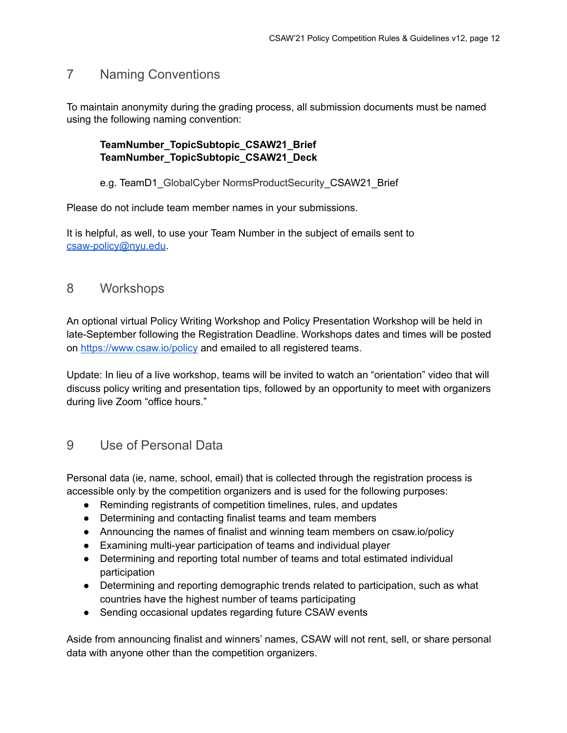# 7 Naming Conventions

To maintain anonymity during the grading process, all submission documents must be named using the following naming convention:

#### **TeamNumber\_TopicSubtopic\_CSAW21\_Brief TeamNumber\_TopicSubtopic\_CSAW21\_Deck**

#### e.g. TeamD1\_GlobalCyber NormsProductSecurity\_CSAW21\_Brief

Please do not include team member names in your submissions.

It is helpful, as well, to use your Team Number in the subject of emails sent to [csaw-policy@nyu.edu](mailto:csaw-policy@nyu.edu).

# 8 Workshops

An optional virtual Policy Writing Workshop and Policy Presentation Workshop will be held in late-September following the Registration Deadline. Workshops dates and times will be posted on <https://www.csaw.io/policy> and emailed to all registered teams.

Update: In lieu of a live workshop, teams will be invited to watch an "orientation" video that will discuss policy writing and presentation tips, followed by an opportunity to meet with organizers during live Zoom "office hours."

# 9 Use of Personal Data

Personal data (ie, name, school, email) that is collected through the registration process is accessible only by the competition organizers and is used for the following purposes:

- Reminding registrants of competition timelines, rules, and updates
- Determining and contacting finalist teams and team members
- Announcing the names of finalist and winning team members on csaw.io/policy
- Examining multi-year participation of teams and individual player
- Determining and reporting total number of teams and total estimated individual participation
- Determining and reporting demographic trends related to participation, such as what countries have the highest number of teams participating
- Sending occasional updates regarding future CSAW events

Aside from announcing finalist and winners' names, CSAW will not rent, sell, or share personal data with anyone other than the competition organizers.